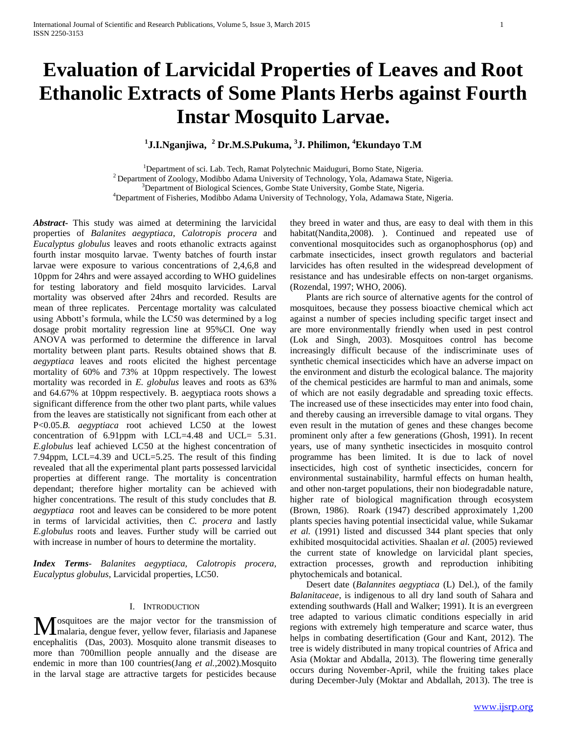# **Evaluation of Larvicidal Properties of Leaves and Root Ethanolic Extracts of Some Plants Herbs against Fourth Instar Mosquito Larvae.**

**1 J.I.Nganjiwa, <sup>2</sup> Dr.M.S.Pukuma, <sup>3</sup> J. Philimon, <sup>4</sup>Ekundayo T.M**

<sup>1</sup>Department of sci. Lab. Tech, Ramat Polytechnic Maiduguri, Borno State, Nigeria.  $2$  Department of Zoology, Modibbo Adama University of Technology, Yola, Adamawa State, Nigeria. <sup>3</sup>Department of Biological Sciences, Gombe State University, Gombe State, Nigeria. <sup>4</sup>Department of Fisheries, Modibbo Adama University of Technology, Yola, Adamawa State, Nigeria.

*Abstract***-** This study was aimed at determining the larvicidal properties of *Balanites aegyptiaca*, *Calotropis procera* and *Eucalyptus globulus* leaves and roots ethanolic extracts against fourth instar mosquito larvae. Twenty batches of fourth instar larvae were exposure to various concentrations of 2,4,6,8 and 10ppm for 24hrs and were assayed according to WHO guidelines for testing laboratory and field mosquito larvicides. Larval mortality was observed after 24hrs and recorded. Results are mean of three replicates. Percentage mortality was calculated using Abbott's formula, while the LC50 was determined by a log dosage probit mortality regression line at 95%CI. One way ANOVA was performed to determine the difference in larval mortality between plant parts. Results obtained shows that *B. aegyptiaca* leaves and roots elicited the highest percentage mortality of 60% and 73% at 10ppm respectively. The lowest mortality was recorded in *E. globulus* leaves and roots as 63% and 64.67% at 10ppm respectively. B. aegyptiaca roots shows a significant difference from the other two plant parts, while values from the leaves are statistically not significant from each other at P<0.05.*B. aegyptiaca* root achieved LC50 at the lowest concentration of 6.91ppm with LCL=4.48 and UCL= 5.31. *E.globulus* leaf achieved LC50 at the highest concentration of 7.94ppm, LCL=4.39 and UCL=5.25. The result of this finding revealed that all the experimental plant parts possessed larvicidal properties at different range. The mortality is concentration dependant; therefore higher mortality can be achieved with higher concentrations. The result of this study concludes that *B. aegyptiaca* root and leaves can be considered to be more potent in terms of larvicidal activities, then *C. procera* and lastly *E.globulus* roots and leaves. Further study will be carried out with increase in number of hours to determine the mortality.

*Index Terms*- *Balanites aegyptiaca, Calotropis procera, Eucalyptus globulus*, Larvicidal properties, LC50.

## I. INTRODUCTION

osquitoes are the major vector for the transmission of malaria, dengue fever, yellow fever, filariasis and Japanese **M** osquitoes are the major vector for the transmission of malaria, dengue fever, yellow fever, filariasis and Japanese encephalitis (Das, 2003). Mosquito alone transmit diseases to more than 700million people annually and the disease are endemic in more than 100 countries(Jang *et al.,*2002).Mosquito in the larval stage are attractive targets for pesticides because

they breed in water and thus, are easy to deal with them in this habitat(Nandita,2008). ). Continued and repeated use of conventional mosquitocides such as organophosphorus (op) and carbmate insecticides, insect growth regulators and bacterial larvicides has often resulted in the widespread development of resistance and has undesirable effects on non-target organisms. (Rozendal, 1997; WHO, 2006).

 Plants are rich source of alternative agents for the control of mosquitoes, because they possess bioactive chemical which act against a number of species including specific target insect and are more environmentally friendly when used in pest control (Lok and Singh, 2003). Mosquitoes control has become increasingly difficult because of the indiscriminate uses of synthetic chemical insecticides which have an adverse impact on the environment and disturb the ecological balance. The majority of the chemical pesticides are harmful to man and animals, some of which are not easily degradable and spreading toxic effects. The increased use of these insecticides may enter into food chain, and thereby causing an irreversible damage to vital organs. They even result in the mutation of genes and these changes become prominent only after a few generations (Ghosh, 1991). In recent years, use of many synthetic insecticides in mosquito control programme has been limited. It is due to lack of novel insecticides, high cost of synthetic insecticides, concern for environmental sustainability, harmful effects on human health, and other non-target populations, their non biodegradable nature, higher rate of biological magnification through ecosystem (Brown, 1986). Roark (1947) described approximately 1,200 plants species having potential insecticidal value, while Sukamar *et al.* (1991) listed and discussed 344 plant species that only exhibited mosquitocidal activities. Shaalan *et al.* (2005) reviewed the current state of knowledge on larvicidal plant species, extraction processes, growth and reproduction inhibiting phytochemicals and botanical.

 Desert date (*Balannites aegyptiaca* (L) Del.), of the family *Balanitaceae*, is indigenous to all dry land south of Sahara and extending southwards (Hall and Walker; 1991). It is an evergreen tree adapted to various climatic conditions especially in arid regions with extremely high temperature and scarce water, thus helps in combating desertification (Gour and Kant, 2012). The tree is widely distributed in many tropical countries of Africa and Asia (Moktar and Abdalla, 2013). The flowering time generally occurs during November-April, while the fruiting takes place during December-July (Moktar and Abdallah, 2013). The tree is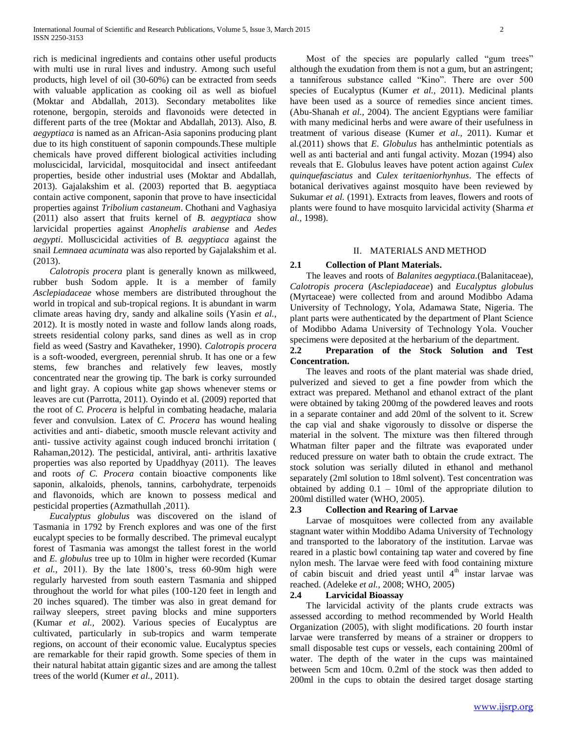rich is medicinal ingredients and contains other useful products with multi use in rural lives and industry. Among such useful products, high level of oil (30-60%) can be extracted from seeds with valuable application as cooking oil as well as biofuel (Moktar and Abdallah, 2013). Secondary metabolites like rotenone, bergopin, steroids and flavonoids were detected in different parts of the tree (Moktar and Abdallah, 2013). Also, *B. aegyptiaca* is named as an African-Asia saponins producing plant due to its high constituent of saponin compounds.These multiple chemicals have proved different biological activities including moluscicidal, larvicidal, mosquitocidal and insect antifeedant properties, beside other industrial uses (Moktar and Abdallah, 2013). Gajalakshim et al. (2003) reported that B. aegyptiaca contain active component, saponin that prove to have insecticidal properties against *Tribolium castaneum*. Chothani and Vaghasiya (2011) also assert that fruits kernel of *B. aegyptiaca* show larvicidal properties against *Anophelis arabiense* and *Aedes aegypti*. Molluscicidal activities of *B. aegyptiaca* against the snail *Lemnaea acuminata* was also reported by Gajalakshim et al. (2013).

 *Calotropis procera* plant is generally known as milkweed, rubber bush Sodom apple. It is a member of family *Asclepiadaceae* whose members are distributed throughout the world in tropical and sub-tropical regions. It is abundant in warm climate areas having dry, sandy and alkaline soils (Yasin *et al.,*  2012). It is mostly noted in waste and follow lands along roads, streets residential colony parks, sand dines as well as in crop field as weed (Sastry and Kavatheker, 1990). *Calotropis procera* is a soft-wooded, evergreen, perennial shrub. It has one or a few stems, few branches and relatively few leaves, mostly concentrated near the growing tip. The bark is corky surrounded and light gray. A copious white gap shows whenever stems or leaves are cut (Parrotta, 2011). Oyindo et al. (2009) reported that the root of *C. Procera* is helpful in combating headache, malaria fever and convulsion. Latex of *C. Procera* has wound healing activities and anti- diabetic, smooth muscle relevant activity and anti- tussive activity against cough induced bronchi irritation ( Rahaman,2012). The pesticidal, antiviral, anti- arthritis laxative properties was also reported by Upaddhyay (2011). The leaves and roots *of C. Procera* contain bioactive components like saponin, alkaloids, phenols, tannins, carbohydrate, terpenoids and flavonoids, which are known to possess medical and pesticidal properties (Azmathullah ,2011).

 *Eucalyptus globulus* was discovered on the island of Tasmania in 1792 by French explores and was one of the first eucalypt species to be formally described. The primeval eucalypt forest of Tasmania was amongst the tallest forest in the world and *E. globulus* tree up to 10lm in higher were recorded (Kumar *et al.,* 2011). By the late 1800's, tress 60-90m high were regularly harvested from south eastern Tasmania and shipped throughout the world for what piles (100-120 feet in length and 20 inches squared). The timber was also in great demand for railway sleepers, street paving blocks and mine supporters (Kumar *et al.,* 2002). Various species of Eucalyptus are cultivated, particularly in sub-tropics and warm temperate regions, on account of their economic value. Eucalyptus species are remarkable for their rapid growth. Some species of them in their natural habitat attain gigantic sizes and are among the tallest trees of the world (Kumer *et al.,* 2011).

Most of the species are popularly called "gum trees" although the exudation from them is not a gum, but an astringent; a tanniferous substance called "Kino". There are over 500 species of Eucalyptus (Kumer *et al.,* 2011). Medicinal plants have been used as a source of remedies since ancient times. (Abu-Shanah *et al.,* 2004). The ancient Egyptians were familiar with many medicinal herbs and were aware of their usefulness in treatment of various disease (Kumer *et al.,* 2011). Kumar et al.(2011) shows that *E. Globulus* has anthelmintic potentials as well as anti bacterial and anti fungal activity. Mozan (1994) also reveals that E. Globulus leaves have potent action against *Culex quinquefasciatus* and *Culex teritaeniorhynhus*. The effects of botanical derivatives against mosquito have been reviewed by Sukumar *et al.* (1991). Extracts from leaves, flowers and roots of

#### II. MATERIALS AND METHOD

plants were found to have mosquito larvicidal activity (Sharma *et* 

#### **2.1 Collection of Plant Materials.**

*al.,* 1998).

 The leaves and roots of *Balanites aegyptiaca.*(Balanitaceae), *Calotropis procera* (*Asclepiadaceae*) and *Eucalyptus globulus*  (Myrtaceae) were collected from and around Modibbo Adama University of Technology, Yola, Adamawa State, Nigeria. The plant parts were authenticated by the department of Plant Science of Modibbo Adama University of Technology Yola. Voucher specimens were deposited at the herbarium of the department.

## **2.2 Preparation of the Stock Solution and Test Concentration.**

 The leaves and roots of the plant material was shade dried, pulverized and sieved to get a fine powder from which the extract was prepared. Methanol and ethanol extract of the plant were obtained by taking 200mg of the powdered leaves and roots in a separate container and add 20ml of the solvent to it. Screw the cap vial and shake vigorously to dissolve or disperse the material in the solvent. The mixture was then filtered through Whatman filter paper and the filtrate was evaporated under reduced pressure on water bath to obtain the crude extract. The stock solution was serially diluted in ethanol and methanol separately (2ml solution to 18ml solvent). Test concentration was obtained by adding  $0.1 - 10$ ml of the appropriate dilution to 200ml distilled water (WHO, 2005).

## **2.3 Collection and Rearing of Larvae**

 Larvae of mosquitoes were collected from any available stagnant water within Moddibo Adama University of Technology and transported to the laboratory of the institution. Larvae was reared in a plastic bowl containing tap water and covered by fine nylon mesh. The larvae were feed with food containing mixture of cabin biscuit and dried yeast until  $4<sup>th</sup>$  instar larvae was reached. (Adeleke *et al.,* 2008; WHO, 2005)

## **2.4 Larvicidal Bioassay**

 The larvicidal activity of the plants crude extracts was assessed according to method recommended by World Health Organization (2005), with slight modifications. 20 fourth instar larvae were transferred by means of a strainer or droppers to small disposable test cups or vessels, each containing 200ml of water. The depth of the water in the cups was maintained between 5cm and 10cm. 0.2ml of the stock was then added to 200ml in the cups to obtain the desired target dosage starting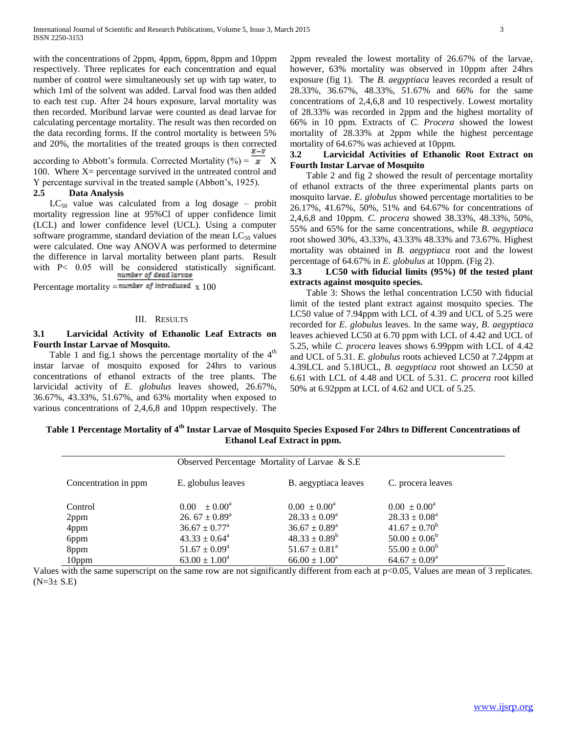with the concentrations of 2ppm, 4ppm, 6ppm, 8ppm and 10ppm respectively. Three replicates for each concentration and equal number of control were simultaneously set up with tap water, to which 1ml of the solvent was added. Larval food was then added to each test cup. After 24 hours exposure, larval mortality was then recorded. Moribund larvae were counted as dead larvae for calculating percentage mortality. The result was then recorded on the data recording forms. If the control mortality is between 5% and 20%, the mortalities of the treated groups is then corrected

according to Abbott's formula. Corrected Mortality (%) =  $\overline{x}$  X 100. Where  $X =$  percentage survived in the untreated control and Y percentage survival in the treated sample (Abbott's, 1925).

## **2.5 Data Analysis**

 $LC_{50}$  value was calculated from a log dosage – probit mortality regression line at 95%Cl of upper confidence limit (LCL) and lower confidence level (UCL). Using a computer software programme, standard deviation of the mean  $LC_{50}$  values were calculated. One way ANOVA was performed to determine the difference in larval mortality between plant parts. Result with P< 0.05 will be considered statistically significant.

Percentage mortality =  $number$  of introduced  $\chi$  100

#### III. RESULTS

## **3.1 Larvicidal Activity of Ethanolic Leaf Extracts on Fourth Instar Larvae of Mosquito.**

Table 1 and fig.1 shows the percentage mortality of the  $4<sup>th</sup>$ instar larvae of mosquito exposed for 24hrs to various concentrations of ethanol extracts of the tree plants. The larvicidal activity of *E. globulus* leaves showed, 26.67%, 36.67%, 43.33%, 51.67%, and 63% mortality when exposed to various concentrations of 2,4,6,8 and 10ppm respectively. The

2ppm revealed the lowest mortality of 26.67% of the larvae, however, 63% mortality was observed in 10ppm after 24hrs exposure (fig 1). The *B. aegyptiaca* leaves recorded a result of 28.33%, 36.67%, 48.33%, 51.67% and 66% for the same concentrations of 2,4,6,8 and 10 respectively. Lowest mortality of 28.33% was recorded in 2ppm and the highest mortality of 66% in 10 ppm. Extracts of *C. Procera* showed the lowest mortality of 28.33% at 2ppm while the highest percentage mortality of 64.67% was achieved at 10ppm.

## **3.2 Larvicidal Activities of Ethanolic Root Extract on Fourth Instar Larvae of Mosquito**

 Table 2 and fig 2 showed the result of percentage mortality of ethanol extracts of the three experimental plants parts on mosquito larvae. *E. globulus* showed percentage mortalities to be 26.17%, 41.67%, 50%, 51% and 64.67% for concentrations of 2,4,6,8 and 10ppm. *C. procera* showed 38.33%, 48.33%, 50%, 55% and 65% for the same concentrations, while *B. aegyptiaca* root showed 30%, 43.33%, 43.33% 48.33% and 73.67%. Highest mortality was obtained in *B. aegyptiaca* root and the lowest percentage of 64.67% in *E. globulus* at 10ppm. (Fig 2).

## **3.3 LC50 with fiducial limits (95%) 0f the tested plant extracts against mosquito species.**

 Table 3: Shows the lethal concentration LC50 with fiducial limit of the tested plant extract against mosquito species. The LC50 value of 7.94ppm with LCL of 4.39 and UCL of 5.25 were recorded for *E. globulus* leaves. In the same way, *B. aegyptiaca* leaves achieved LC50 at 6.70 ppm with LCL of 4.42 and UCL of 5.25, while *C. procera* leaves shows 6.99ppm with LCL of 4.42 and UCL of 5.31. *E. globulus* roots achieved LC50 at 7.24ppm at 4.39LCL and 5.18UCL, *B. aegyptiaca* root showed an LC50 at 6.61 with LCL of 4.48 and UCL of 5.31. *C. procera* root killed 50% at 6.92ppm at LCL of 4.62 and UCL of 5.25.

**Table 1 Percentage Mortality of 4th Instar Larvae of Mosquito Species Exposed For 24hrs to Different Concentrations of Ethanol Leaf Extract in ppm.**

| Observed Percentage Mortality of Larvae & S.E. |                                      |                             |                             |  |
|------------------------------------------------|--------------------------------------|-----------------------------|-----------------------------|--|
| Concentration in ppm                           | E. globulus leaves                   | B. aegyptiaca leaves        | C. procera leaves           |  |
| Control                                        | $\pm 0.00^{\rm a}$<br>$0.00^{\circ}$ | $0.00 \pm 0.00^4$           | $0.00 \pm 0.00^{\circ}$     |  |
| 2ppm                                           | 26. $67 \pm 0.89^{\text{a}}$         | $28.33 \pm 0.09^a$          | $28.33 \pm 0.08^a$          |  |
| 4ppm                                           | $36.67 \pm 0.77^{\text{a}}$          | $36.67 \pm 0.89^{\text{a}}$ | $41.67 \pm 0.70^b$          |  |
| 6ppm                                           | $43.33 \pm 0.64^{\circ}$             | $48.33 \pm 0.89^b$          | $50.00 \pm 0.06^b$          |  |
| 8ppm                                           | $51.67 \pm 0.09^{\text{a}}$          | $51.67 \pm 0.81^a$          | $55.00 \pm 0.00^b$          |  |
| 10ppm                                          | $63.00 \pm 1.00^a$                   | $66.00 \pm 1.00^a$          | $64.67 \pm 0.09^{\text{a}}$ |  |

Values with the same superscript on the same row are not significantly different from each at p<0.05, Values are mean of 3 replicates.  $(N=3\pm S.E)$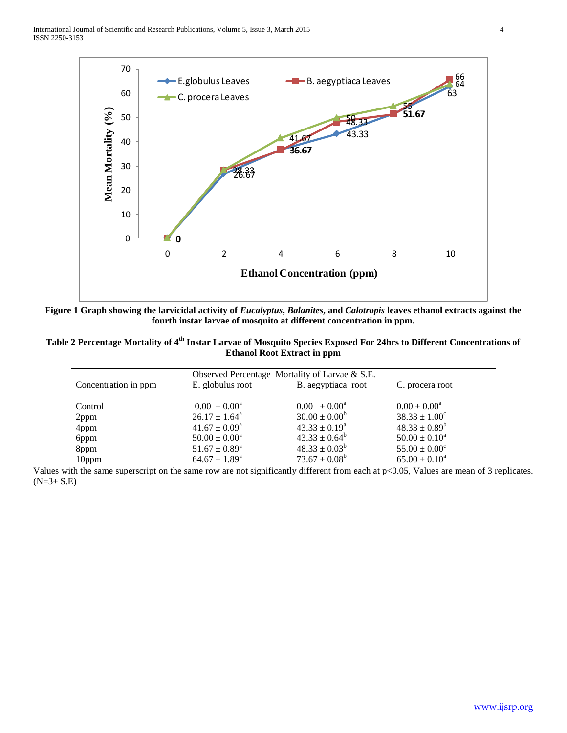

**Figure 1 Graph showing the larvicidal activity of** *Eucalyptus***,** *Balanites***, and** *Calotropis* **leaves ethanol extracts against the fourth instar larvae of mosquito at different concentration in ppm.**

| Table 2 Percentage Mortality of 4 <sup>th</sup> Instar Larvae of Mosquito Species Exposed For 24hrs to Different Concentrations of |                                    |  |  |
|------------------------------------------------------------------------------------------------------------------------------------|------------------------------------|--|--|
|                                                                                                                                    | <b>Ethanol Root Extract in ppm</b> |  |  |

| Observed Percentage Mortality of Larvae & S.E. |                             |                         |                          |  |  |  |
|------------------------------------------------|-----------------------------|-------------------------|--------------------------|--|--|--|
| Concentration in ppm                           | E. globulus root            | B. aegyptiaca root      | C. procera root          |  |  |  |
| Control                                        | $0.00 \pm 0.00^{\text{a}}$  | $0.00 \pm 0.00^{\circ}$ | $0.00 \pm 0.00^a$        |  |  |  |
| 2ppm                                           | $26.17 \pm 1.64^{\circ}$    | $30.00 \pm 0.00^b$      | $38.33 \pm 1.00^{\circ}$ |  |  |  |
| 4ppm                                           | $41.67 \pm 0.09^{\text{a}}$ | $43.33 \pm 0.19^a$      | $48.33 \pm 0.89^b$       |  |  |  |
| 6ppm                                           | $50.00 \pm 0.00^a$          | $43.33 \pm 0.64^b$      | $50.00 \pm 0.10^a$       |  |  |  |
| 8ppm                                           | $51.67 \pm 0.89^{\text{a}}$ | $48.33 \pm 0.03^b$      | $55.00 \pm 0.00^{\circ}$ |  |  |  |
| 10ppm                                          | $64.67 \pm 1.89^{\text{a}}$ | $73.67 \pm 0.08^b$      | $65.00 \pm 0.10^a$       |  |  |  |

Values with the same superscript on the same row are not significantly different from each at p<0.05, Values are mean of 3 replicates.  $(N=3\pm S.E)$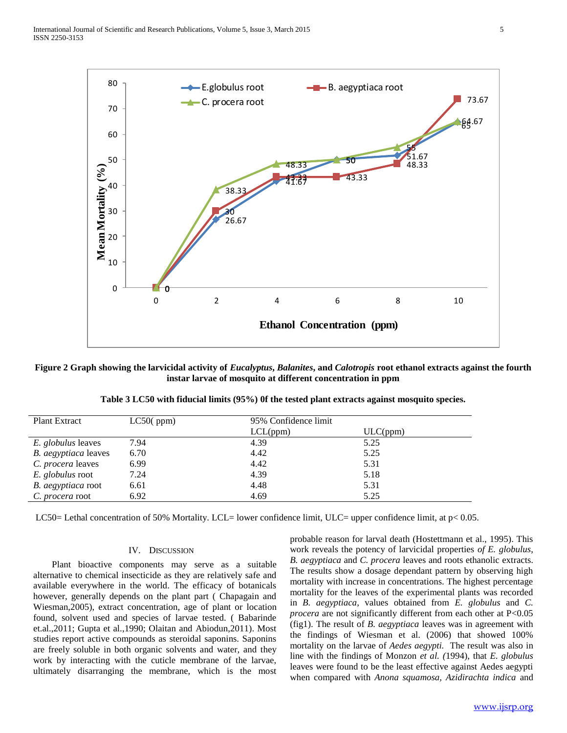

**Figure 2 Graph showing the larvicidal activity of** *Eucalyptus***,** *Balanites***, and** *Calotropis* **root ethanol extracts against the fourth instar larvae of mosquito at different concentration in ppm**

| <b>Plant Extract</b>      | LC50(ppm) |          | 95% Confidence limit |  |  |
|---------------------------|-----------|----------|----------------------|--|--|
|                           |           | LCL(ppm) | ULC(ppm)             |  |  |
| <i>E. globulus</i> leaves | 7.94      | 4.39     | 5.25                 |  |  |
| B. aegyptiaca leaves      | 6.70      | 4.42     | 5.25                 |  |  |
| <i>C. procera</i> leaves  | 6.99      | 4.42     | 5.31                 |  |  |
| E. globulus root          | 7.24      | 4.39     | 5.18                 |  |  |
| B. aegyptiaca root        | 6.61      | 4.48     | 5.31                 |  |  |
| C. procera root           | 6.92      | 4.69     | 5.25                 |  |  |

**Table 3 LC50 with fiducial limits (95%) 0f the tested plant extracts against mosquito species.**

LC50= Lethal concentration of 50% Mortality. LCL= lower confidence limit, ULC= upper confidence limit, at p< 0.05.

### IV. DISCUSSION

 Plant bioactive components may serve as a suitable alternative to chemical insecticide as they are relatively safe and available everywhere in the world. The efficacy of botanicals however, generally depends on the plant part ( Chapagain and Wiesman,2005), extract concentration, age of plant or location found, solvent used and species of larvae tested. ( Babarinde et.al.,2011; Gupta et al.,1990; Olaitan and Abiodun,2011). Most studies report active compounds as steroidal saponins. Saponins are freely soluble in both organic solvents and water, and they work by interacting with the cuticle membrane of the larvae, ultimately disarranging the membrane, which is the most

probable reason for larval death (Hostettmann et al., 1995). This work reveals the potency of larvicidal properties *of E. globulus*, *B. aegyptiaca* and *C. procera* leaves and roots ethanolic extracts. The results show a dosage dependant pattern by observing high mortality with increase in concentrations. The highest percentage mortality for the leaves of the experimental plants was recorded in *B. aegyptiaca*, values obtained from *E. globulus* and *C. procera* are not significantly different from each other at P<0.05 (fig1). The result of *B. aegyptiaca* leaves was in agreement with the findings of Wiesman et al. (2006) that showed 100% mortality on the larvae of *Aedes aegypti.* The result was also in line with the findings of Monzon *et al. (*1994), that *E. globulus* leaves were found to be the least effective against Aedes aegypti when compared with *Anona squamosa, Azidirachta indica* and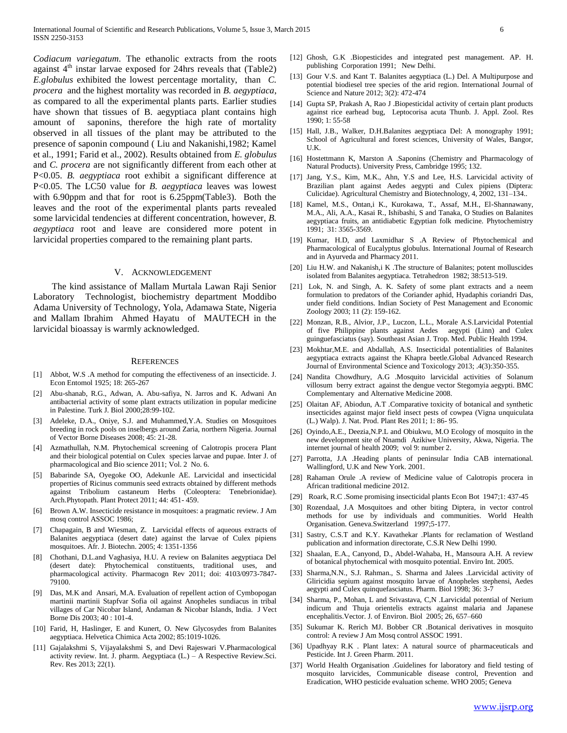*Codiacum variegatum*. The ethanolic extracts from the roots against  $4<sup>th</sup>$  instar larvae exposed for 24hrs reveals that (Table2) *E.globulus* exhibited the lowest percentage mortality, than *C. procera* and the highest mortality was recorded in *B. aegyptiaca*, as compared to all the experimental plants parts. Earlier studies have shown that tissues of B. aegyptiaca plant contains high amount of saponins, therefore the high rate of mortality observed in all tissues of the plant may be attributed to the presence of saponin compound ( Liu and Nakanishi,1982; Kamel et al., 1991; Farid et al., 2002). Results obtained from *E. globulus* and *C. procera* are not significantly different from each other at P<0.05. *B. aegyptiaca* root exhibit a significant difference at P<0.05. The LC50 value for *B. aegyptiaca* leaves was lowest with 6.90ppm and that for root is 6.25ppm(Table3). Both the leaves and the root of the experimental plants parts revealed some larvicidal tendencies at different concentration, however, *B. aegyptiaca* root and leave are considered more potent in larvicidal properties compared to the remaining plant parts.

#### V. ACKNOWLEDGEMENT

 The kind assistance of Mallam Murtala Lawan Raji Senior Laboratory Technologist, biochemistry department Moddibo Adama University of Technology, Yola, Adamawa State, Nigeria and Mallam Ibrahim Ahmed Hayatu of MAUTECH in the larvicidal bioassay is warmly acknowledged.

#### **REFERENCES**

- [1] Abbot, W.S. A method for computing the effectiveness of an insecticide. J. Econ Entomol 1925; 18: 265-267
- [2] Abu-shanab, R.G., Adwan, A. Abu-safiya, N. Jarros and K. Adwani An antibacterial activity of some plant extracts utilization in popular medicine in Palestine. Turk J. Biol 2000;28:99-102.
- [3] Adeleke, D.A., Oniye, S.J. and Muhammed,Y.A. Studies on Mosquitoes breeding in rock pools on inselbergs around Zaria, northern Nigeria. Journal of Vector Borne Diseases 2008; 45: 21-28.
- [4] Azmathullah, N.M. Phytochemical screening of Calotropis procera Plant and their biological potential on Culex species larvae and pupae. Inter J. of pharmacological and Bio science 2011; Vol. 2 No. 6.
- [5] Babarinde SA, Oyegoke OO, Adekunle AE. Larvicidal and insecticidal properties of Ricinus communis seed extracts obtained by different methods against Tribolium castaneum Herbs (Coleoptera: Tenebrionidae). Arch.Phytopath. Plant Protect 2011; 44: 451- 459.
- [6] Brown A.W. Insecticide resistance in mosquitoes: a pragmatic review. J Am mosq control ASSOC 1986;
- [7] Chapagain, B and Wiesman, Z. Larvicidal effects of aqueous extracts of Balanites aegyptiaca (desert date) against the larvae of Culex pipiens mosquitoes. Afr. J. Biotechn. 2005; 4: 1351-1356
- [8] Chothani, D.L.and Vaghasiya, H.U. A review on Balanites aegyptiaca Del (desert date): Phytochemical constituents, traditional uses, and pharmacological activity. Pharmacogn Rev 2011; doi: 4103/0973-7847- 79100.
- [9] Das, M.K and Ansari, M.A. Evaluation of repellent action of Cymbopogan martinii martinii Stapfvar Sofia oil against Anopheles sundiacus in tribal villages of Car Nicobar Island, Andaman & Nicobar Islands, India. J Vect Borne Dis 2003; 40 : 101-4.
- [10] Farid, H, Haslinger, E and Kunert, O. New Glycosydes from Balanites aegyptiaca. Helvetica Chimica Acta 2002; 85:1019-1026.
- [11] Gajalakshmi S, Vijayalakshmi S, and Devi Rajeswari V.Pharmacological activity review. Int. J. pharm. Aegyptiaca (L.) – A Respective Review.Sci. Rev. Res 2013; 22(1).
- [12] Ghosh, G.K .Biopesticides and integrated pest management. AP. H. publishing Corporation 1991; New Delhi.
- [13] Gour V.S. and Kant T. Balanites aegyptiaca (L.) Del. A Multipurpose and potential biodiesel tree species of the arid region. International Journal of Science and Nature 2012; 3(2): 472-474
- [14] Gupta SP, Prakash A, Rao J .Biopesticidal activity of certain plant products against rice earhead bug, Leptocorisa acuta Thunb. J. Appl. Zool. Res 1990; 1: 55-58
- [15] Hall, J.B., Walker, D.H.Balanites aegyptiaca Del: A monography 1991; School of Agricultural and forest sciences, University of Wales, Bangor, U.K.
- [16] Hostettmann K, Marston A .Saponins (Chemistry and Pharmacology of Natural Products). University Press, Cambridge 1995; 132.
- [17] Jang, Y.S., Kim, M.K., Ahn, Y.S and Lee, H.S. Larvicidal activity of Brazilian plant against Aedes aegypti and Culex pipiens (Diptera: Culicidae). Agricultural Chemistry and Biotechnology, 4, 2002, 131–134..
- [18] Kamel, M.S., Ontan,i K., Kurokawa, T., Assaf, M.H., El-Shannawany, M.A., Ali, A.A., Kasai R., Ishibashi, S and Tanaka, O Studies on Balanites aegyptiaca fruits, an antidiabetic Egyptian folk medicine. Phytochemistry 1991; 31: 3565-3569.
- [19] Kumar, H.D, and Laxmidhar S .A Review of Phytochemical and Pharmacological of Eucalyptus globulus. International Journal of Research and in Ayurveda and Pharmacy 2011.
- [20] Liu H.W. and Nakanish,i K .The structure of Balanites; potent molluscides isolated from Balanites aegyptiaca. Tetrahedron 1982; 38:513-519.
- [21] Lok, N. and Singh, A. K. Safety of some plant extracts and a neem formulation to predators of the Coriander aphid, Hyadaphis coriandri Das, under field conditions. Indian Society of Pest Management and Economic Zoology 2003; 11 (2): 159-162.
- [22] Monzan, R.B., Alvior, J.P., Luczon, L.L., Morale A.S.Larvicidal Potential of five Philippine plants against Aedes aegypti (Linn) and Culex guinguefasciatus (say). Southeast Asian J. Trop. Med. Public Health 1994.
- [23] Mokhtar, M.E. and Abdallah, A.S. Insecticidal potentialities of Balanites aegyptiaca extracts against the Khapra beetle.Global Advanced Research Journal of Environmental Science and Toxicology 2013; .4(3):350-355.
- [24] Nandita Chowdhury, A.G .Mosquito larvicidal activities of Solanum villosum berry extract against the dengue vector Stegomyia aegypti. BMC Complementary and Alternative Medicine 2008.
- [25] Olaitan AF, Abiodun, A.T .Comparative toxicity of botanical and synthetic insecticides against major field insect pests of cowpea (Vigna unquiculata (L.) Walp). J. Nat. Prod. Plant Res 2011; 1: 86- 95.
- [26] Oyindo, A.E., Deezia, N.P.L and Obiukwu, M.O Ecology of mosquito in the new development site of Nnamdi Azikiwe University, Akwa, Nigeria. The internet journal of health 2009; vol 9: number 2.
- [27] Parrotta, J.A .Heading plants of peninsular India CAB international. Wallingford, U.K and New York. 2001.
- [28] Rahaman Orule .A review of Medicine value of Calotropis procera in African traditional medicine 2012.
- [29] Roark, R.C .Some promising insecticidal plants Econ Bot 1947;1: 437-45
- [30] Rozendaal, J.A Mosquitoes and other biting Diptera, in vector control methods for use by individuals and communities. World Health Organisation. Geneva.Switzerland 1997;5-177.
- [31] Sastry, C.S.T and K.Y. Kavathekar .Plants for reclamation of Westland publication and information directorate, C.S.R New Delhi 1990.
- [32] Shaalan, E.A., Canyond, D., Abdel-Wahaba, H., Mansoura A.H. A review of botanical phytochemical with mosquito potential. Enviro Int. 2005.
- [33] Sharma,N.N., S.J. Rahman., S. Sharma and Jalees .Larvicidal activity of Gliricidia sepium against mosquito larvae of Anopheles stephensi, Aedes aegypti and Culex quinquefasciatus. Pharm. Biol 1998; 36: 3-7
- [34] Sharma, P., Mohan, L and Srivastava, C,N .Larvicidal potential of Nerium indicum and Thuja orientelis extracts against malaria and Japanese encephalitis.Vector. J. of Environ. Biol 2005; 26, 657–660
- [35] Sukumar K. Rerich MJ. Bobber CR .Botanical derivatives in mosquito control: A review J Am Mosq control ASSOC 1991.
- [36] Upadhyay R.K . Plant latex: A natural source of pharmaceuticals and Pesticide. Int J. Green Pharm. 2011.
- [37] World Health Organisation .Guidelines for laboratory and field testing of mosquito larvicides, Communicable disease control, Prevention and Eradication, WHO pesticide evaluation scheme. WHO 2005; Geneva